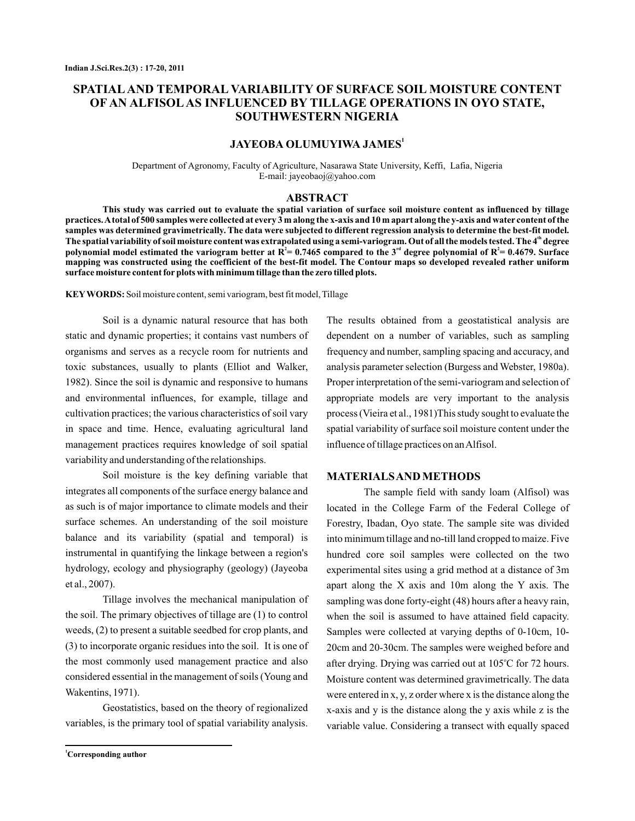# **SPATIAL AND TEMPORAL VARIABILITY OF SURFACE SOIL MOISTURE CONTENT OF AN ALFISOL AS INFLUENCED BY TILLAGE OPERATIONS IN OYO STATE, SOUTHWESTERN NIGERIA**

# **JAYEOBA OLUMUYIWA JAMES<sup>1</sup>**

Department of Agronomy, Faculty of Agriculture, Nasarawa State University, Keffi, Lafia, Nigeria E-mail: jayeobaoj@yahoo.com

#### **ABSTRACT**

**This study was carried out to evaluate the spatial variation of surface soil moisture content as influenced by tillage practices.Atotal of 500 samples were collected at every 3 m along the x-axis and 10 m apart along the y-axis and water content of the samples was determined gravimetrically. The data were subjected to different regression analysis to determine the best-fit model.** The spatial variability of soil moisture content was extrapolated using a semi-variogram. Out of all the models tested. The 4<sup>th</sup> degree polynomial model estimated the variogram better at  $R^2$  = 0.7465 compared to the 3<sup>rd</sup> degree polynomial of  $R^2$  = 0.4679. Surface **mapping was constructed using the coefficient of the best-fit model. The Contour maps so developed revealed rather uniform surface moisture content for plots with minimum tillage than the zero tilled plots.**

**KEY WORDS:** Soil moisture content, semi variogram, best fit model, Tillage

Soil is a dynamic natural resource that has both static and dynamic properties; it contains vast numbers of organisms and serves as a recycle room for nutrients and toxic substances, usually to plants (Elliot and Walker, 1982). Since the soil is dynamic and responsive to humans and environmental influences, for example, tillage and cultivation practices; the various characteristics of soil vary in space and time. Hence, evaluating agricultural land management practices requires knowledge of soil spatial variability and understanding of the relationships.

Soil moisture is the key defining variable that integrates all components of the surface energy balance and as such is of major importance to climate models and their surface schemes. An understanding of the soil moisture balance and its variability (spatial and temporal) is instrumental in quantifying the linkage between a region's hydrology, ecology and physiography (geology) (Jayeoba et al., 2007).

Tillage involves the mechanical manipulation of the soil. The primary objectives of tillage are (1) to control weeds, (2) to present a suitable seedbed for crop plants, and (3) to incorporate organic residues into the soil. It is one of the most commonly used management practice and also considered essential in the management of soils (Young and Wakentins, 1971).

Geostatistics, based on the theory of regionalized variables, is the primary tool of spatial variability analysis.

The results obtained from a geostatistical analysis are dependent on a number of variables, such as sampling frequency and number, sampling spacing and accuracy, and analysis parameter selection (Burgess and Webster, 1980a). Proper interpretation of the semi-variogram and selection of appropriate models are very important to the analysis process (Vieira et al., 1981)This study sought to evaluate the spatial variability of surface soil moisture content under the influence of tillage practices on an Alfisol.

#### **MATERIALSAND METHODS**

The sample field with sandy loam (Alfisol) was located in the College Farm of the Federal College of Forestry, Ibadan, Oyo state. The sample site was divided into minimum tillage and no-till land cropped to maize. Five hundred core soil samples were collected on the two experimental sites using a grid method at a distance of 3m apart along the X axis and 10m along the Y axis. The sampling was done forty-eight (48) hours after a heavy rain, when the soil is assumed to have attained field capacity. Samples were collected at varying depths of 0-10cm, 10- 20cm and 20-30cm. The samples were weighed before and after drying. Drying was carried out at 105°C for 72 hours. Moisture content was determined gravimetrically. The data were entered in x, y, z order where x is the distance along the x-axis and y is the distance along the y axis while z is the variable value. Considering a transect with equally spaced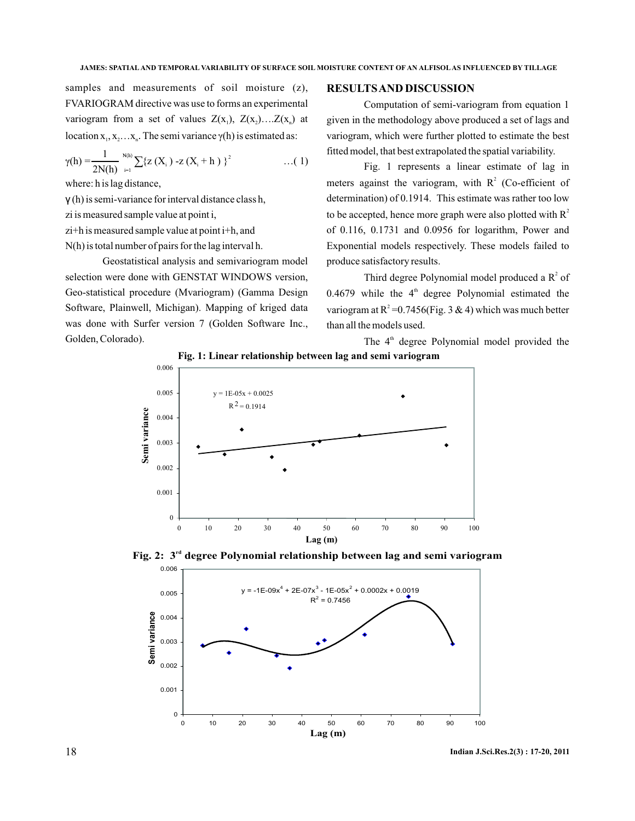samples and measurements of soil moisture (z). FVARIOGRAM directive was use to forms an experimental variogram from a set of values  $Z(x_1)$ ,  $Z(x_2)$ .... $Z(x_n)$  at location  $x_1, x_2...x_n$ . The semi variance  $\gamma(h)$  is estimated as:

$$
\gamma(h) = \frac{1}{2N(h)} \sum_{i=1}^{N(h)} \sum \{ z(X_i) - z(X_i + h) \}^2 \qquad \qquad \dots (1)
$$

where: h is lag distance,

(h) is semi-variance for interval distance class h, γ

zi is measured sample value at point i,

zi+h is measured sample value at point i+h, and

N(h) is total number of pairs for the lag interval h.

Geostatistical analysis and semivariogram model selection were done with GENSTAT WINDOWS version, Geo-statistical procedure (Mvariogram) (Gamma Design Software, Plainwell, Michigan). Mapping of kriged data was done with Surfer version 7 (Golden Software Inc., Golden, Colorado).

### **RESULTSAND DISCUSSION**

Computation of semi-variogram from equation 1 given in the methodology above produced a set of lags and variogram, which were further plotted to estimate the best fitted model, that best extrapolated the spatial variability.

Fig. 1 represents a linear estimate of lag in meters against the variogram, with  $R^2$  (Co-efficient of determination) of 0.1914. This estimate was rather too low to be accepted, hence more graph were also plotted with  $R^2$ of 0.116, 0.1731 and 0.0956 for logarithm, Power and Exponential models respectively. These models failed to produce satisfactory results.

Third degree Polynomial model produced a  $R^2$  of  $0.4679$  while the  $4<sup>th</sup>$  degree Polynomial estimated the variogram at  $R^2 = 0.7456$  (Fig. 3 & 4) which was much better than all the models used.

The  $4<sup>th</sup>$  degree Polynomial model provided the



Fig. 2: 3<sup>rd</sup> degree Polynomial relationship between lag and semi variogram



18 **Indian J.Sci.Res.2(3) : 17-20, 2011**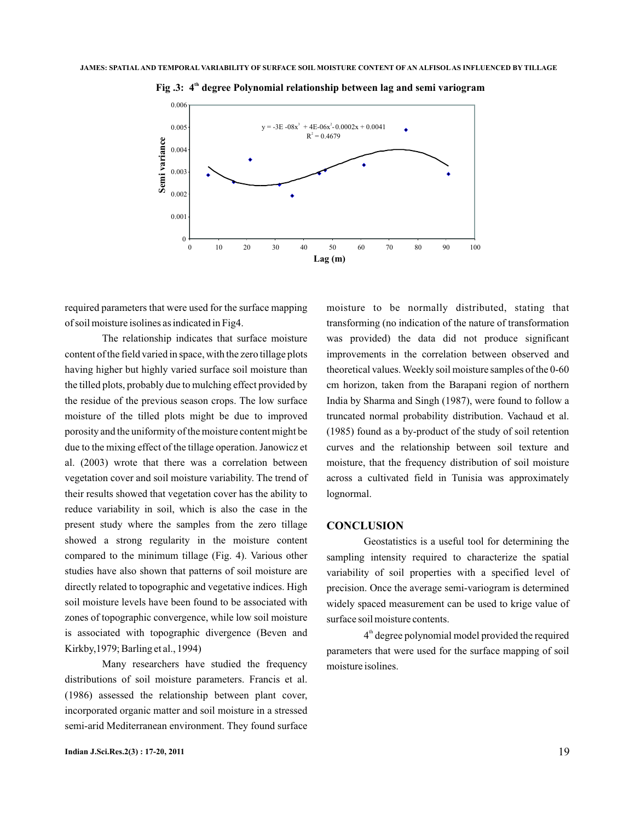

**Fig .3:** 4<sup>th</sup> degree Polynomial relationship between lag and semi variogram

required parameters that were used for the surface mapping of soil moisture isolines as indicated in Fig4.

The relationship indicates that surface moisture content of the field varied in space, with the zero tillage plots having higher but highly varied surface soil moisture than the tilled plots, probably due to mulching effect provided by the residue of the previous season crops. The low surface moisture of the tilled plots might be due to improved porosity and the uniformity of the moisture content might be due to the mixing effect of the tillage operation. Janowicz et al. (2003) wrote that there was a correlation between vegetation cover and soil moisture variability. The trend of their results showed that vegetation cover has the ability to reduce variability in soil, which is also the case in the present study where the samples from the zero tillage showed a strong regularity in the moisture content compared to the minimum tillage (Fig. 4). Various other studies have also shown that patterns of soil moisture are directly related to topographic and vegetative indices. High soil moisture levels have been found to be associated with zones of topographic convergence, while low soil moisture is associated with topographic divergence (Beven and Kirkby,1979; Barling et al., 1994)

Many researchers have studied the frequency distributions of soil moisture parameters. Francis et al. (1986) assessed the relationship between plant cover, incorporated organic matter and soil moisture in a stressed semi-arid Mediterranean environment. They found surface

moisture to be normally distributed, stating that transforming (no indication of the nature of transformation was provided) the data did not produce significant improvements in the correlation between observed and theoretical values.Weekly soil moisture samples of the 0-60 cm horizon, taken from the Barapani region of northern India by Sharma and Singh (1987), were found to follow a truncated normal probability distribution. Vachaud et al. (1985) found as a by-product of the study of soil retention curves and the relationship between soil texture and moisture, that the frequency distribution of soil moisture across a cultivated field in Tunisia was approximately lognormal.

#### **CONCLUSION**

Geostatistics is a useful tool for determining the sampling intensity required to characterize the spatial variability of soil properties with a specified level of precision. Once the average semi-variogram is determined widely spaced measurement can be used to krige value of surface soil moisture contents.

4<sup>th</sup> degree polynomial model provided the required parameters that were used for the surface mapping of soil moisture isolines.